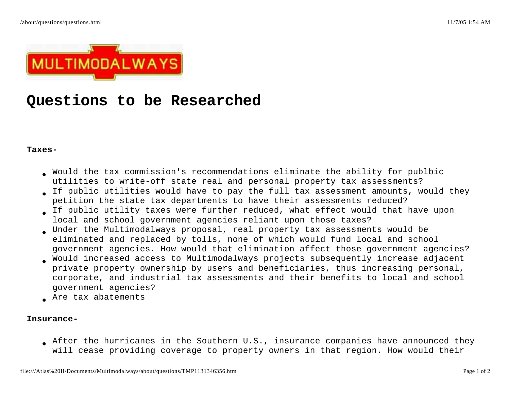

# **Questions to be Researched**

#### **Taxes-**

- Would the tax commission's recommendations eliminate the ability for publbic utilities to write-off state real and personal property tax assessments?
- If public utilities would have to pay the full tax assessment amounts, would they petition the state tax departments to have their assessments reduced?
- If public utility taxes were further reduced, what effect would that have upon local and school government agencies reliant upon those taxes?
- Under the Multimodalways proposal, real property tax assessments would be eliminated and replaced by tolls, none of which would fund local and school government agencies. How would that elimination affect those government agencies?
- Would increased access to Multimodalways projects subsequently increase adjacent private property ownership by users and beneficiaries, thus increasing personal, corporate, and industrial tax assessments and their benefits to local and school government agencies?
- Are tax abatements

#### **Insurance-**

After the hurricanes in the Southern U.S., insurance companies have announced they will cease providing coverage to property owners in that region. How would their